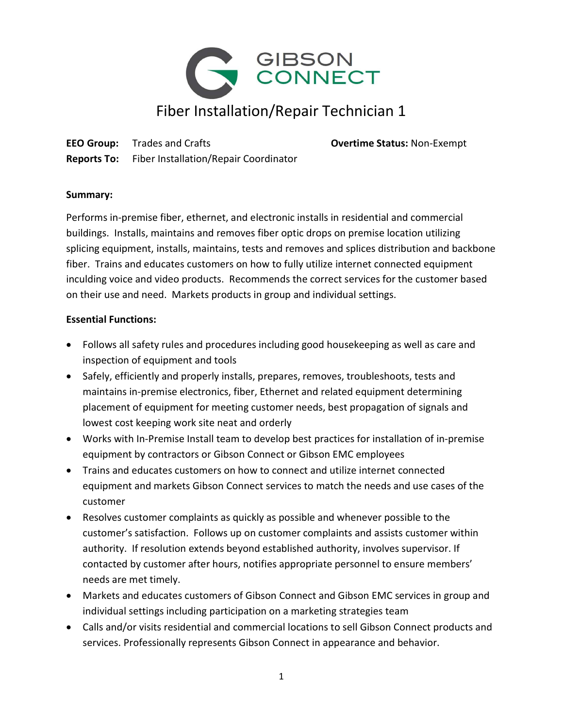

EEO Group: Trades and Crafts **Canadian Crafts Covertime Status: Non-Exempt** Reports To: Fiber Installation/Repair Coordinator

#### Summary:

Performs in-premise fiber, ethernet, and electronic installs in residential and commercial buildings. Installs, maintains and removes fiber optic drops on premise location utilizing splicing equipment, installs, maintains, tests and removes and splices distribution and backbone fiber. Trains and educates customers on how to fully utilize internet connected equipment inculding voice and video products. Recommends the correct services for the customer based on their use and need. Markets products in group and individual settings.

#### Essential Functions:

- Follows all safety rules and procedures including good housekeeping as well as care and inspection of equipment and tools
- Safely, efficiently and properly installs, prepares, removes, troubleshoots, tests and maintains in-premise electronics, fiber, Ethernet and related equipment determining placement of equipment for meeting customer needs, best propagation of signals and lowest cost keeping work site neat and orderly
- Works with In-Premise Install team to develop best practices for installation of in-premise equipment by contractors or Gibson Connect or Gibson EMC employees
- Trains and educates customers on how to connect and utilize internet connected equipment and markets Gibson Connect services to match the needs and use cases of the customer
- Resolves customer complaints as quickly as possible and whenever possible to the customer's satisfaction. Follows up on customer complaints and assists customer within authority. If resolution extends beyond established authority, involves supervisor. If contacted by customer after hours, notifies appropriate personnel to ensure members' needs are met timely.
- Markets and educates customers of Gibson Connect and Gibson EMC services in group and individual settings including participation on a marketing strategies team
- Calls and/or visits residential and commercial locations to sell Gibson Connect products and services. Professionally represents Gibson Connect in appearance and behavior.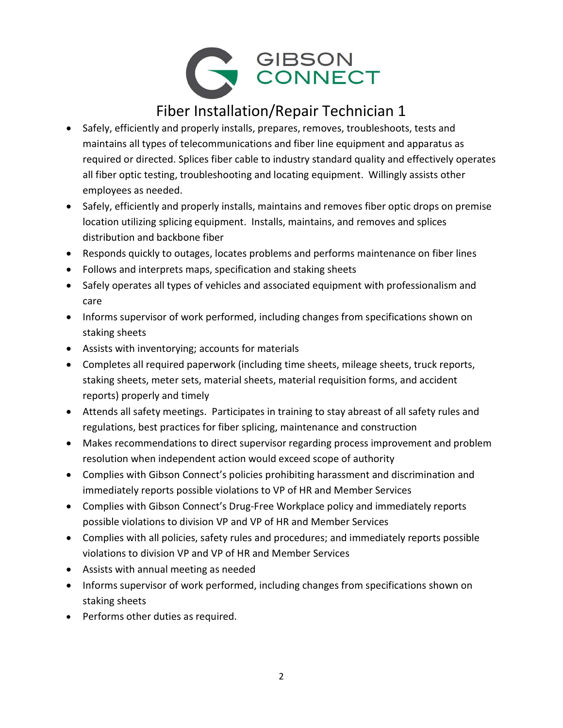

- Safely, efficiently and properly installs, prepares, removes, troubleshoots, tests and maintains all types of telecommunications and fiber line equipment and apparatus as required or directed. Splices fiber cable to industry standard quality and effectively operates all fiber optic testing, troubleshooting and locating equipment. Willingly assists other employees as needed.
- Safely, efficiently and properly installs, maintains and removes fiber optic drops on premise location utilizing splicing equipment. Installs, maintains, and removes and splices distribution and backbone fiber
- Responds quickly to outages, locates problems and performs maintenance on fiber lines
- Follows and interprets maps, specification and staking sheets
- Safely operates all types of vehicles and associated equipment with professionalism and care
- Informs supervisor of work performed, including changes from specifications shown on staking sheets
- Assists with inventorying; accounts for materials
- Completes all required paperwork (including time sheets, mileage sheets, truck reports, staking sheets, meter sets, material sheets, material requisition forms, and accident reports) properly and timely
- Attends all safety meetings. Participates in training to stay abreast of all safety rules and regulations, best practices for fiber splicing, maintenance and construction
- Makes recommendations to direct supervisor regarding process improvement and problem resolution when independent action would exceed scope of authority
- Complies with Gibson Connect's policies prohibiting harassment and discrimination and immediately reports possible violations to VP of HR and Member Services
- Complies with Gibson Connect's Drug-Free Workplace policy and immediately reports possible violations to division VP and VP of HR and Member Services
- Complies with all policies, safety rules and procedures; and immediately reports possible violations to division VP and VP of HR and Member Services
- Assists with annual meeting as needed
- Informs supervisor of work performed, including changes from specifications shown on staking sheets
- Performs other duties as required.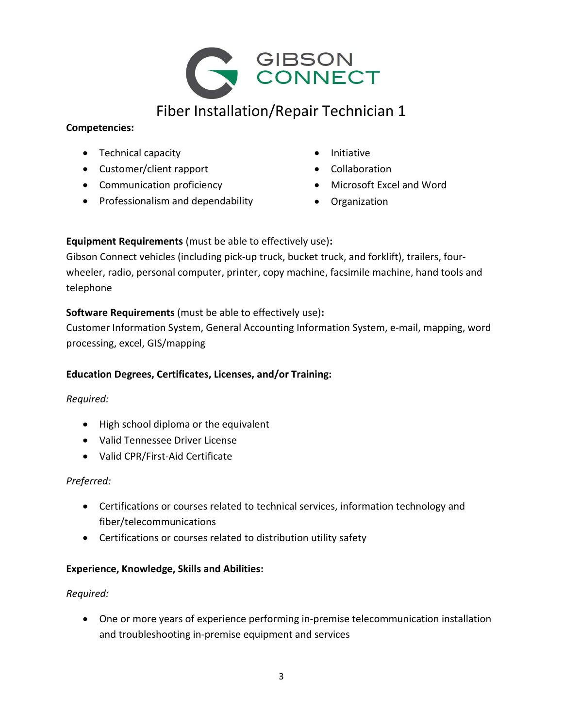

#### Competencies:

- Technical capacity
- Customer/client rapport
- **•** Communication proficiency
- Professionalism and dependability
- Initiative
- Collaboration
- Microsoft Excel and Word
- **•** Organization

### Equipment Requirements (must be able to effectively use):

Gibson Connect vehicles (including pick-up truck, bucket truck, and forklift), trailers, fourwheeler, radio, personal computer, printer, copy machine, facsimile machine, hand tools and telephone

### Software Requirements (must be able to effectively use):

Customer Information System, General Accounting Information System, e-mail, mapping, word processing, excel, GIS/mapping

## Education Degrees, Certificates, Licenses, and/or Training:

### Required:

- High school diploma or the equivalent
- Valid Tennessee Driver License
- Valid CPR/First-Aid Certificate

### Preferred:

- Certifications or courses related to technical services, information technology and fiber/telecommunications
- Certifications or courses related to distribution utility safety

### Experience, Knowledge, Skills and Abilities:

### Required:

 One or more years of experience performing in-premise telecommunication installation and troubleshooting in-premise equipment and services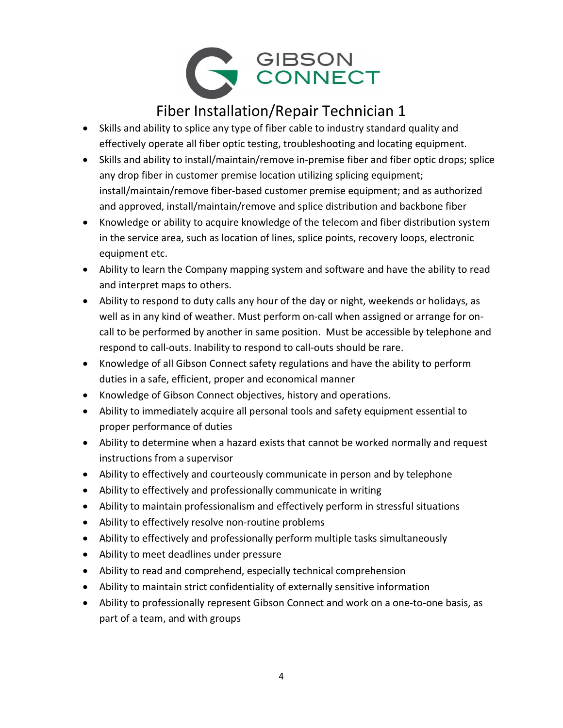

- Skills and ability to splice any type of fiber cable to industry standard quality and effectively operate all fiber optic testing, troubleshooting and locating equipment.
- Skills and ability to install/maintain/remove in-premise fiber and fiber optic drops; splice any drop fiber in customer premise location utilizing splicing equipment; install/maintain/remove fiber-based customer premise equipment; and as authorized and approved, install/maintain/remove and splice distribution and backbone fiber
- Knowledge or ability to acquire knowledge of the telecom and fiber distribution system in the service area, such as location of lines, splice points, recovery loops, electronic equipment etc.
- Ability to learn the Company mapping system and software and have the ability to read and interpret maps to others.
- Ability to respond to duty calls any hour of the day or night, weekends or holidays, as well as in any kind of weather. Must perform on-call when assigned or arrange for oncall to be performed by another in same position. Must be accessible by telephone and respond to call-outs. Inability to respond to call-outs should be rare.
- Knowledge of all Gibson Connect safety regulations and have the ability to perform duties in a safe, efficient, proper and economical manner
- Knowledge of Gibson Connect objectives, history and operations.
- Ability to immediately acquire all personal tools and safety equipment essential to proper performance of duties
- Ability to determine when a hazard exists that cannot be worked normally and request instructions from a supervisor
- Ability to effectively and courteously communicate in person and by telephone
- Ability to effectively and professionally communicate in writing
- Ability to maintain professionalism and effectively perform in stressful situations
- Ability to effectively resolve non-routine problems
- Ability to effectively and professionally perform multiple tasks simultaneously
- Ability to meet deadlines under pressure
- Ability to read and comprehend, especially technical comprehension
- Ability to maintain strict confidentiality of externally sensitive information
- Ability to professionally represent Gibson Connect and work on a one-to-one basis, as part of a team, and with groups